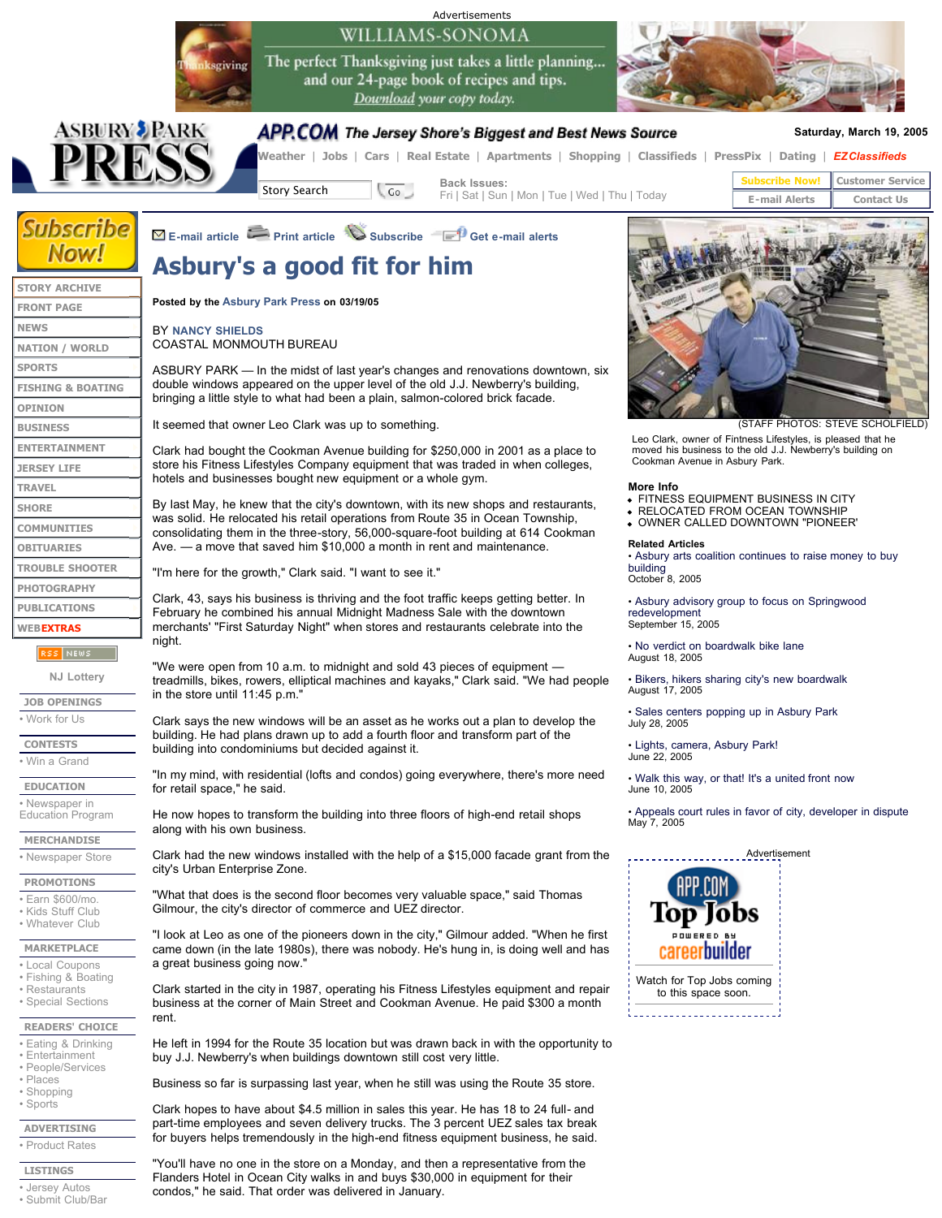# WILLIAMS-SONOMA

The perfect Thanksgiving just takes a little planning... and our 24-page book of recipes and tips. Download your copy today.





#### APP.COM The Jersey Shore's Biggest and Best News Source

Advertisements

#### **Saturday, March 19, 2005**

**Weather** | **Jobs** | **Cars** | **Real Estate** | **Apartments** | **Shopping** | **Classifieds** | **PressPix** | **Dating** | *EZClassifieds*

**Story Search Go Back Issues:** 

**E-mail article Print article Subscribe Get e-mail alerts**

Fri | Sat | Sun | Mon | Tue | Wed | Thu | Today

**Subscribe Now! Customer Service E-mail Alerts | Contact Us** 

### **Subscribe Now!**

## **Asbury's a good fit for him**

|                                                          | ASDUI Y S A YOOU IIL IOI IIIIII                                                                                                                                                                                                                                                                                                                                                                                                                                         |
|----------------------------------------------------------|-------------------------------------------------------------------------------------------------------------------------------------------------------------------------------------------------------------------------------------------------------------------------------------------------------------------------------------------------------------------------------------------------------------------------------------------------------------------------|
| <b>STORY ARCHIVE</b>                                     |                                                                                                                                                                                                                                                                                                                                                                                                                                                                         |
| <b>FRONT PAGE</b>                                        | Posted by the Asbury Park Press on 03/19/05                                                                                                                                                                                                                                                                                                                                                                                                                             |
| <b>NEWS</b>                                              | <b>BY NANCY SHIELDS</b><br>COASTAL MONMOUTH BUREAU                                                                                                                                                                                                                                                                                                                                                                                                                      |
| <b>NATION / WORLD</b>                                    |                                                                                                                                                                                                                                                                                                                                                                                                                                                                         |
| <b>SPORTS</b>                                            | ASBURY PARK — In the midst of last year's changes and renovations downtown, six<br>double windows appeared on the upper level of the old J.J. Newberry's building,<br>bringing a little style to what had been a plain, salmon-colored brick facade.                                                                                                                                                                                                                    |
| <b>FISHING &amp; BOATING</b>                             |                                                                                                                                                                                                                                                                                                                                                                                                                                                                         |
| <b>OPINION</b>                                           |                                                                                                                                                                                                                                                                                                                                                                                                                                                                         |
| <b>BUSINESS</b>                                          | It seemed that owner Leo Clark was up to something.                                                                                                                                                                                                                                                                                                                                                                                                                     |
| <b>ENTERTAINMENT</b>                                     | Clark had bought the Cookman Avenue building for \$250,000 in 2001 as a place to<br>store his Fitness Lifestyles Company equipment that was traded in when colleges,<br>hotels and businesses bought new equipment or a whole gym.                                                                                                                                                                                                                                      |
| <b>JERSEY LIFE</b>                                       |                                                                                                                                                                                                                                                                                                                                                                                                                                                                         |
| <b>TRAVEL</b>                                            |                                                                                                                                                                                                                                                                                                                                                                                                                                                                         |
| <b>SHORE</b>                                             | By last May, he knew that the city's downtown, with its new shops and restaurants,<br>was solid. He relocated his retail operations from Route 35 in Ocean Township,<br>consolidating them in the three-story, 56,000-square-foot building at 614 Cookman<br>Ave. - a move that saved him \$10,000 a month in rent and maintenance.                                                                                                                                     |
| <b>COMMUNITIES</b>                                       |                                                                                                                                                                                                                                                                                                                                                                                                                                                                         |
| <b>OBITUARIES</b>                                        |                                                                                                                                                                                                                                                                                                                                                                                                                                                                         |
| <b>TROUBLE SHOOTER</b>                                   | "I'm here for the growth," Clark said. "I want to see it."                                                                                                                                                                                                                                                                                                                                                                                                              |
| <b>PHOTOGRAPHY</b>                                       |                                                                                                                                                                                                                                                                                                                                                                                                                                                                         |
| <b>PUBLICATIONS</b><br><b>WEBEXTRAS</b>                  | Clark, 43, says his business is thriving and the foot traffic keeps getting better. In<br>February he combined his annual Midnight Madness Sale with the downtown<br>merchants' "First Saturday Night" when stores and restaurants celebrate into the<br>night.<br>"We were open from 10 a.m. to midnight and sold 43 pieces of equipment —<br>treadmills, bikes, rowers, elliptical machines and kayaks," Clark said. "We had people<br>in the store until 11:45 p.m." |
|                                                          |                                                                                                                                                                                                                                                                                                                                                                                                                                                                         |
| <b>RSS NEWS</b>                                          |                                                                                                                                                                                                                                                                                                                                                                                                                                                                         |
| <b>NJ Lottery</b>                                        |                                                                                                                                                                                                                                                                                                                                                                                                                                                                         |
| <b>JOB OPENINGS</b>                                      |                                                                                                                                                                                                                                                                                                                                                                                                                                                                         |
| • Work for Us                                            | Clark says the new windows will be an asset as he works out a plan to develop the<br>building. He had plans drawn up to add a fourth floor and transform part of the<br>building into condominiums but decided against it.                                                                                                                                                                                                                                              |
| <b>CONTESTS</b><br>• Win a Grand                         |                                                                                                                                                                                                                                                                                                                                                                                                                                                                         |
|                                                          | "In my mind, with residential (lofts and condos) going everywhere, there's more need<br>for retail space," he said.                                                                                                                                                                                                                                                                                                                                                     |
| <b>EDUCATION</b>                                         |                                                                                                                                                                                                                                                                                                                                                                                                                                                                         |
| • Newspaper in<br><b>Education Program</b>               | He now hopes to transform the building into three floors of high-end retail shops<br>along with his own business.                                                                                                                                                                                                                                                                                                                                                       |
| <b>MERCHANDISE</b>                                       |                                                                                                                                                                                                                                                                                                                                                                                                                                                                         |
| • Newspaper Store                                        | Clark had the new windows installed with the help of a \$15,000 facade grant from the<br>city's Urban Enterprise Zone.                                                                                                                                                                                                                                                                                                                                                  |
| <b>PROMOTIONS</b>                                        | "What that does is the second floor becomes very valuable space," said Thomas                                                                                                                                                                                                                                                                                                                                                                                           |
| • Earn \$600/mo.<br>• Kids Stuff Club<br>• Whatever Club | Gilmour, the city's director of commerce and UEZ director.                                                                                                                                                                                                                                                                                                                                                                                                              |
|                                                          | "I look at Leo as one of the nioneers down in the city." Cilmour added "When he first                                                                                                                                                                                                                                                                                                                                                                                   |

**MARKETPLACE**

- Local Coupons • Fishing & Boating
- Restaurants
- Special Sections

#### **READERS' CHOICE**

- Eating & Drinking
- Entertainment • People/Services
- Places
- Shopping
- Sports

**ADVERTISING**

• Product Rates

**LISTINGS**

• Jersey Autos

• Submit Club/Bar

#### d bought the Cookman Avenue building for \$250,000 in 2001 as a place to Fitness Lifestyles Company equipment that was traded in when colleges, nd businesses bought new equipment or a whole gym. May, he knew that the city's downtown, with its new shops and restaurants, d. He relocated his retail operations from Route 35 in Ocean Township, ating them in the three-story, 56,000-square-foot building at 614 Cookman a move that saved him \$10,000 a month in rent and maintenance. e for the growth," Clark said. "I want to see it." 3, says his business is thriving and the foot traffic keeps getting better. In y he combined his annual Midnight Madness Sale with the downtown nts' "First Saturday Night" when stores and restaurants celebrate into the e open from 10 a.m. to midnight and sold 43 pieces of equipment ls, bikes, rowers, elliptical machines and kayaks," Clark said. "We had people ore until 11:45 p.m." lys the new windows will be an asset as he works out a plan to develop the He had plans drawn up to add a fourth floor and transform part of the into condominiums but decided against it.

I look at Leo as one of the pioneers down in the city," Gilmour added. "When he first came down (in the late 1980s), there was nobody. He's hung in, is doing well and has a great business going now."

Clark started in the city in 1987, operating his Fitness Lifestyles equipment and repair business at the corner of Main Street and Cookman Avenue. He paid \$300 a month rent.

He left in 1994 for the Route 35 location but was drawn back in with the opportunity to buy J.J. Newberry's when buildings downtown still cost very little.

Business so far is surpassing last year, when he still was using the Route 35 store.

Clark hopes to have about \$4.5 million in sales this year. He has 18 to 24 full- and part-time employees and seven delivery trucks. The 3 percent UEZ sales tax break for buyers helps tremendously in the high-end fitness equipment business, he said.

"You'll have no one in the store on a Monday, and then a representative from the Flanders Hotel in Ocean City walks in and buys \$30,000 in equipment for their condos," he said. That order was delivered in January.



(STAFF PHOTOS: STEVE SCHOLFIELD)

Leo Clark, owner of Fintness Lifestyles, is pleased that he moved his business to the old J.J. Newberry's building on Cookman Avenue in Asbury Park.

#### **More Info**

FITNESS EQUIPMENT BUSINESS IN CITY

- RELOCATED FROM OCEAN TOWNSHIP
- OWNER CALLED DOWNTOWN "PIONEER'

#### **Related Articles**

• Asbury arts coalition continues to raise money to buy building October 8, 2005

• Asbury advisory group to focus on Springwood redevelopment September 15, 2005

• No verdict on boardwalk bike lane August 18, 2005

• Bikers, hikers sharing city's new boardwalk August 17, 2005

• Sales centers popping up in Asbury Park July 28, 2005

• Lights, camera, Asbury Park! June 22, 2005

• Walk this way, or that! It's a united front now June 10, 2005

Appeals court rules in favor of city, developer in dispute May 7, 2005

#### **Advertisement**



to this space soon.